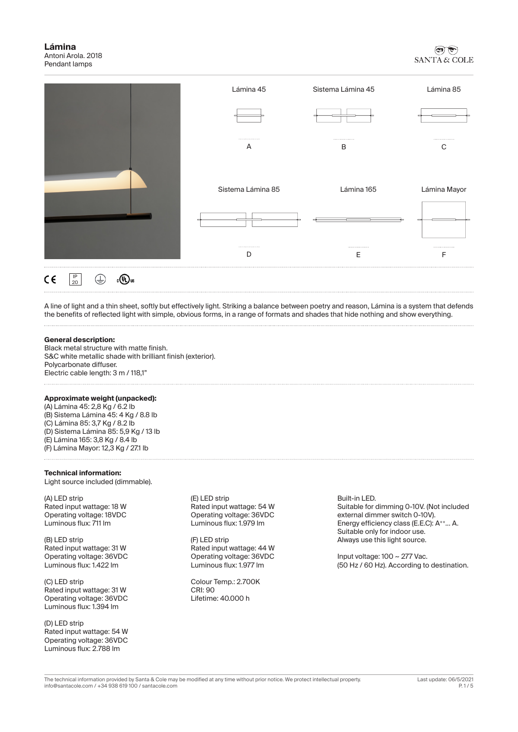

A line of light and a thin sheet, softly but effectively light. Striking a balance between poetry and reason, Lámina is a system that defends the benefits of reflected light with simple, obvious forms, in a range of formats and shades that hide nothing and show everything.

## **General description:**

Black metal structure with matte finish. S&C white metallic shade with brilliant finish (exterior). Polycarbonate diffuser. Electric cable length: 3 m / 118,1"

#### **Approximate weight (unpacked):**

(A) Lámina 45: 2,8 Kg / 6.2 lb (B) Sistema Lámina 45: 4 Kg / 8.8 lb (C) Lámina 85: 3,7 Kg / 8.2 lb (D) Sistema Lámina 85: 5,9 Kg / 13 lb (E) Lámina 165: 3,8 Kg / 8.4 lb (F) Lámina Mayor: 12,3 Kg / 27.1 lb

#### **Technical information:**

Light source included (dimmable).

(A) LED strip Rated input wattage: 18 W Operating voltage: 18VDC Luminous flux: 711 lm

(B) LED strip Rated input wattage: 31 W Operating voltage: 36VDC Luminous flux: 1.422 lm

(C) LED strip Rated input wattage: 31 W Operating voltage: 36VDC Luminous flux: 1.394 lm

(D) LED strip Rated input wattage: 54 W Operating voltage: 36VDC Luminous flux: 2.788 lm

(E) LED strip Rated input wattage: 54 W Operating voltage: 36VDC Luminous flux: 1.979 lm

(F) LED strip Rated input wattage: 44 W Operating voltage: 36VDC Luminous flux: 1.977 lm

Colour Temp.: 2.700K CRI: 90 Lifetime: 40.000 h

Built-in LED. Suitable for dimming 0-10V. (Not included external dimmer switch 0-10V). Energy efficiency class (E.E.C): A<sup>++</sup>... A. Suitable only for indoor use. Always use this light source.

Input voltage:  $100 \sim 277$  Vac. (50 Hz / 60 Hz). According to destination.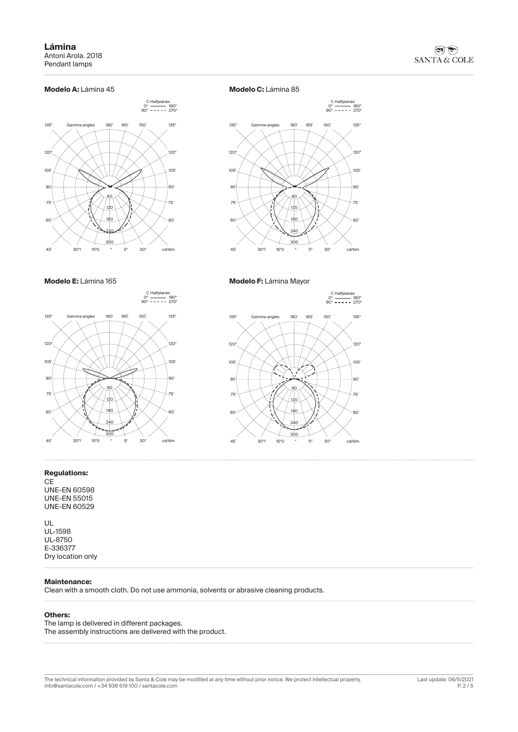### **Modelo A:** Lámina 45



**Modelo C:** Lámina 85



**Modelo E:** Lámina 165

0° <del>- - - -</del> 180°<br>90° **- - - -** - 270° C Halfplanes



#### **Regulations:**

 $\cdots$ 

**CE** UNE-EN 60598 UNE-EN 55015 UNE-EN 60529

UL UL-1598 UL-8750 E-336377 Dry location only

# **Maintenance:**

Clean with a smooth cloth. Do not use ammonia, solvents or abrasive cleaning products.

#### **Others:**

The lamp is delivered in different packages. The assembly instructions are delivered with the product.

The technical information provided by Santa & Cole may be modified at any time without prior notice. We protect intellectual property. Last update: 06/5/2021 info@santacole.com / +34 938 619 100 / santacole.com

**Modelo F:** Lámina Mayor

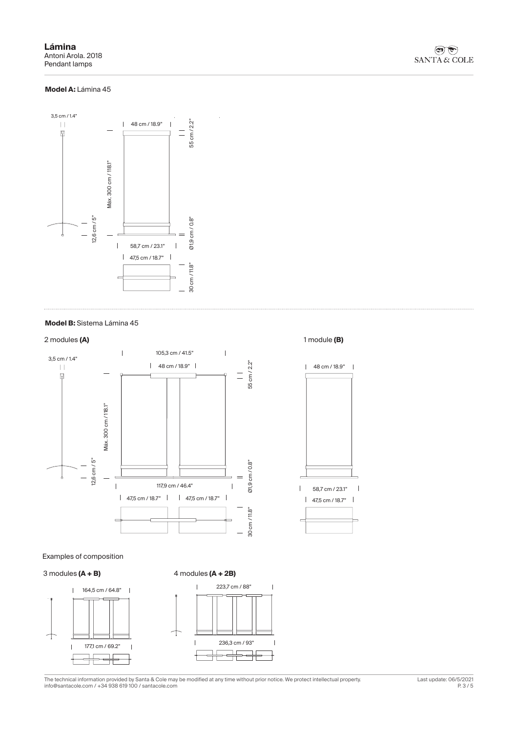## **Model A:** Lámina 45



### **Model B:** Sistema Lámina 45



Examples of composition

#### 3 modules **(A + B)**



The technical information provided by Santa & Cole may be modified at any time without prior notice. We protect intellectual property. Last update: 06/5/2021 info@santacole.com / +34 938 619 100 / santacole.com

#### 2 modules **(A)** 1 module **(B)**

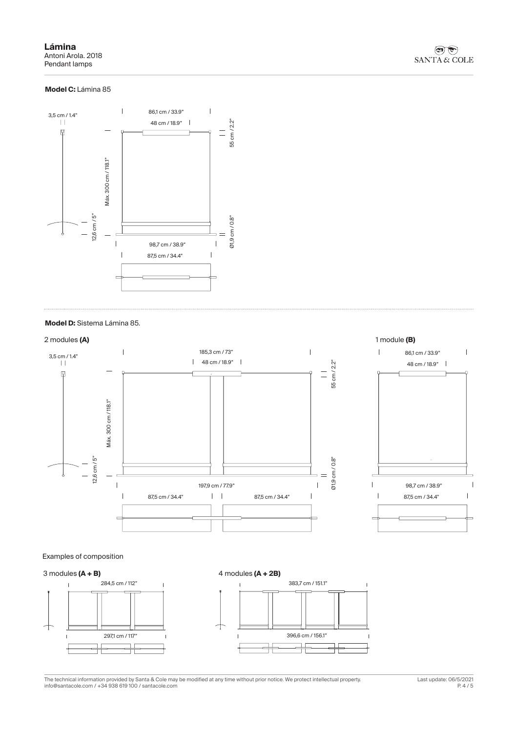**Lámina** Antoni Arola. 2018 Pendant lamps

# **Model C:** Lámina 85



### **Model D:** Sistema Lámina 85.



Examples of composition



The technical information provided by Santa & Cole may be modified at any time without prior notice. We protect intellectual property. Last update: 06/5/2021 info@santacole.com / +34 938 619 100 / santacole.com